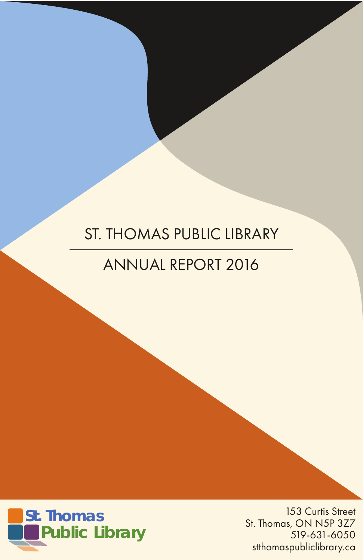# ST. THOMAS PUBLIC LIBRARY

# ANNUAL REPORT 2016



153 Curtis Street St. Thomas, ON N5P 3Z7 519-631-6050 stthomaspubliclibrary.ca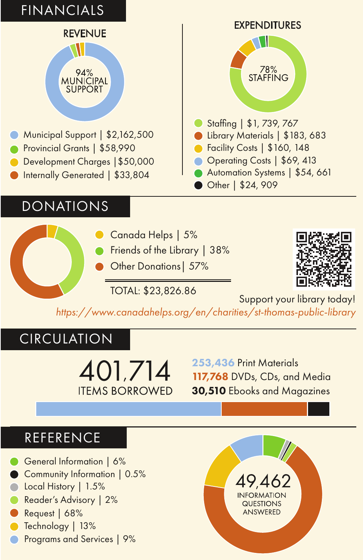# FINANCIALS

#### **REVENUE**

#### 94% **MUNICIPAL SUPPORT**

- Municipal Support | \$2,162,500
- Provincial Grants | \$58,990
- Development Charges | \$50,000
- Internally Generated | \$33,804

# **DONATIONS**

#### Canada Helps | 5%

- Friends of the Library | 38%
- Other Donations| 57%



Other | \$24, 909



TOTAL: \$23,826.86 Support your library today!

*https://www.canadahelps.org/en/charities/st-thomas-public-library*

# CIRCULATION

401,714 **ITEMS BORROWED** 

253,436 Print Materials 117,768 DVDs, CDs, and Media 30,510 Ebooks and Magazines

### REFERENCE

- General Information | 6%
- Community Information | 0.5%
- Local History | 1.5%
- Reader's Advisory | 2%
- Request | 68%
- Technology | 13%
- Programs and Services | 9%

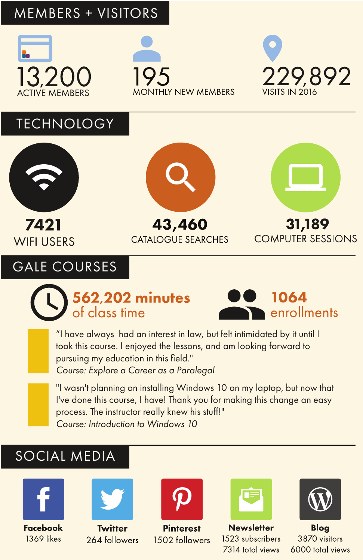## MEMBERS + VISITORS







## **TECHNOLOGY**



7421 **WIFI USERS** 

# GALE COURSES



43,460 **CATALOGUE SEARCHES** 



# **562,202 minutes**<br>of class time



"I have always had an interest in law, but felt intimidated by it until I took this course. I enjoyed the lessons, and am looking forward to pursuing my education in this field." *Course: Explore a Career as a Paralegal*

"I wasn't planning on installing Windows 10 on my laptop, but now that I've done this course, I have! Thank you for making this change an easy process. The instructor really knew his stuff!" *Course: Introduction to Windows 10*

# SOCIAL MEDIA





**Twitter** 264 followers



**Pinterest** 1502 followers



**Newsletter** 1523 subscribers 7314 total views



**Bloa** 3870 visitors 6000 total views